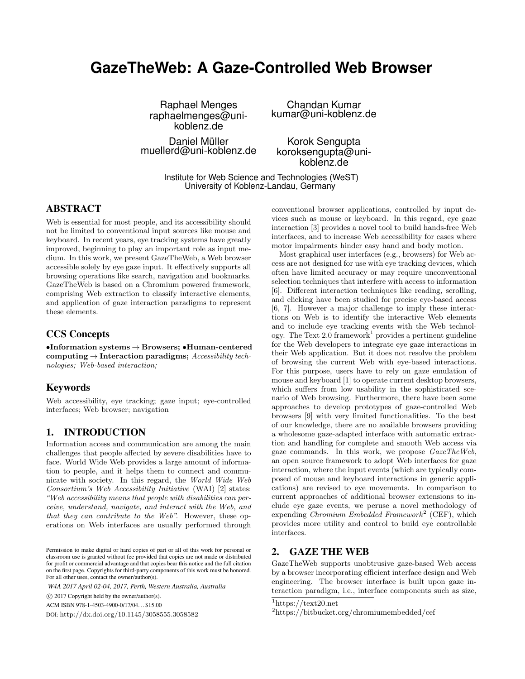# **GazeTheWeb: A Gaze-Controlled Web Browser**

Raphael Menges Chandan Kumar koblenz.de

Daniel Müller Korok Sengupta<br>muellerd@uni-koblenz.de koroksengupta@uni-

raphaelmenges@uni- kumar@uni-koblenz.de

koblenz.de

Institute for Web Science and Technologies (WeST) University of Koblenz-Landau, Germany

# ABSTRACT

Web is essential for most people, and its accessibility should not be limited to conventional input sources like mouse and keyboard. In recent years, eye tracking systems have greatly improved, beginning to play an important role as input medium. In this work, we present GazeTheWeb, a Web browser accessible solely by eye gaze input. It effectively supports all browsing operations like search, navigation and bookmarks. GazeTheWeb is based on a Chromium powered framework, comprising Web extraction to classify interactive elements, and application of gaze interaction paradigms to represent these elements.

# CCS Concepts

 $\bullet$ Information systems  $\to$  Browsers;  $\bullet$  Human-centered computing  $\rightarrow$  Interaction paradigms; Accessibility technologies; Web-based interaction;

#### Keywords

Web accessibility, eye tracking; gaze input; eye-controlled interfaces; Web browser; navigation

# 1. INTRODUCTION

Information access and communication are among the main challenges that people affected by severe disabilities have to face. World Wide Web provides a large amount of information to people, and it helps them to connect and communicate with society. In this regard, the World Wide Web Consortium's Web Accessibility Initiative (WAI) [2] states: "Web accessibility means that people with disabilities can perceive, understand, navigate, and interact with the Web, and that they can contribute to the Web". However, these operations on Web interfaces are usually performed through

*W4A 2017 April 02-04, 2017, Perth, Western Australia, Australia*

© 2017 Copyright held by the owner/author(s). c

ACM ISBN 978-1-4503-4900-0/17/04. . . \$15.00

DOI: http://dx.doi.org/10.1145/3058555.3058582

conventional browser applications, controlled by input devices such as mouse or keyboard. In this regard, eye gaze interaction [3] provides a novel tool to build hands-free Web interfaces, and to increase Web accessibility for cases where motor impairments hinder easy hand and body motion.

Most graphical user interfaces (e.g., browsers) for Web access are not designed for use with eye tracking devices, which often have limited accuracy or may require unconventional selection techniques that interfere with access to information [6]. Different interaction techniques like reading, scrolling, and clicking have been studied for precise eye-based access [6, 7]. However a major challenge to imply these interactions on Web is to identify the interactive Web elements and to include eye tracking events with the Web technology. The Text  $2.0$  framework<sup>1</sup> provides a pertinent guideline for the Web developers to integrate eye gaze interactions in their Web application. But it does not resolve the problem of browsing the current Web with eye-based interactions. For this purpose, users have to rely on gaze emulation of mouse and keyboard [1] to operate current desktop browsers, which suffers from low usability in the sophisticated scenario of Web browsing. Furthermore, there have been some approaches to develop prototypes of gaze-controlled Web browsers [9] with very limited functionalities. To the best of our knowledge, there are no available browsers providing a wholesome gaze-adapted interface with automatic extraction and handling for complete and smooth Web access via gaze commands. In this work, we propose  $GazeTheWeb$ , an open source framework to adopt Web interfaces for gaze interaction, where the input events (which are typically composed of mouse and keyboard interactions in generic applications) are revised to eye movements. In comparison to current approaches of additional browser extensions to include eye gaze events, we peruse a novel methodology of expending *Chromium Embedded Framework*<sup>2</sup> (CEF), which provides more utility and control to build eye controllable interfaces.

# 2. GAZE THE WEB

GazeTheWeb supports unobtrusive gaze-based Web access by a browser incorporating efficient interface design and Web engineering. The browser interface is built upon gaze interaction paradigm, i.e., interface components such as size,

Permission to make digital or hard copies of part or all of this work for personal or classroom use is granted without fee provided that copies are not made or distributed for profit or commercial advantage and that copies bear this notice and the full citation on the first page. Copyrights for third-party components of this work must be honored. For all other uses, contact the owner/author(s).

<sup>1</sup>https://text20.net

<sup>2</sup>https://bitbucket.org/chromiumembedded/cef